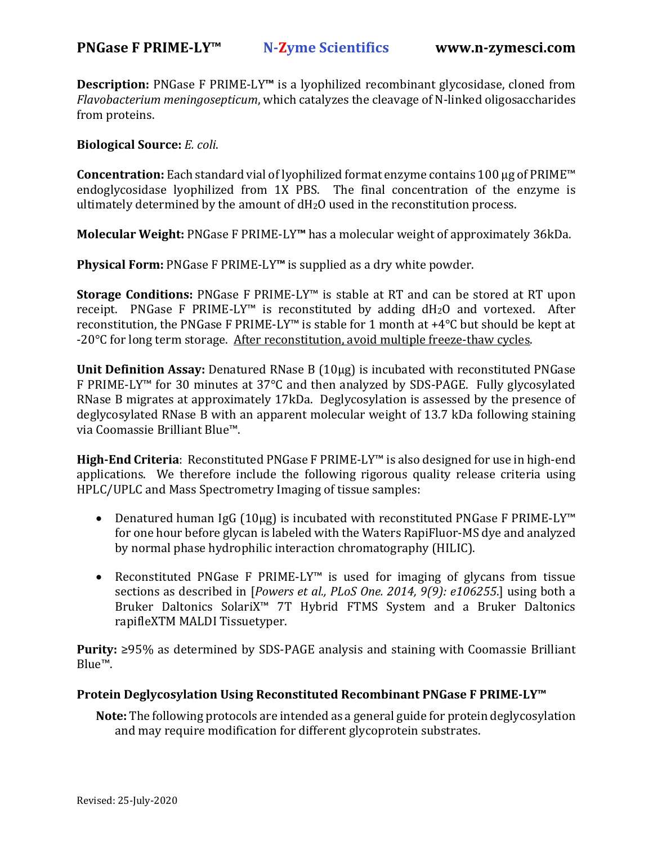**Description:** PNGase F PRIME-LY**™** is a lyophilized recombinant glycosidase, cloned from *Flavobacterium meningosepticum*, which catalyzes the cleavage of N-linked oligosaccharides from proteins.

**Biological Source:** *E. coli*.

**Concentration:** Each standard vial of lyophilized format enzyme contains 100 µg of PRIME™ endoglycosidase lyophilized from 1X PBS. The final concentration of the enzyme is ultimately determined by the amount of dH2O used in the reconstitution process.

**Molecular Weight:** PNGase F PRIME-LY**™** has a molecular weight of approximately 36kDa.

**Physical Form:** PNGase F PRIME-LY**™** is supplied as a dry white powder.

**Storage Conditions:** PNGase F PRIME-LY™ is stable at RT and can be stored at RT upon receipt. PNGase F PRIME-LY™ is reconstituted by adding dH2O and vortexed. After reconstitution, the PNGase F PRIME-LY™ is stable for 1 month at +4°C but should be kept at -20°C for long term storage. After reconstitution, avoid multiple freeze-thaw cycles.

**Unit Definition Assay:** Denatured RNase B (10µg) is incubated with reconstituted PNGase F PRIME-LY™ for 30 minutes at 37°C and then analyzed by SDS-PAGE. Fully glycosylated RNase B migrates at approximately 17kDa. Deglycosylation is assessed by the presence of deglycosylated RNase B with an apparent molecular weight of 13.7 kDa following staining via Coomassie Brilliant Blue™.

**High‐End Criteria**: Reconstituted PNGase F PRIME-LY™ is also designed for use in high-end applications. We therefore include the following rigorous quality release criteria using HPLC/UPLC and Mass Spectrometry Imaging of tissue samples:

- Denatured human IgG (10µg) is incubated with reconstituted PNGase F PRIME-LY™ for one hour before glycan is labeled with the Waters RapiFluor-MS dye and analyzed by normal phase hydrophilic interaction chromatography (HILIC).
- Reconstituted PNGase F PRIME-LY™ is used for imaging of glycans from tissue sections as described in [*Powers et al., PLoS One. 2014, 9(9): e106255*.] using both a Bruker Daltonics SolariX™ 7T Hybrid FTMS System and a Bruker Daltonics rapifleXTM MALDI Tissuetyper.

**Purity:** ≥95% as determined by SDS-PAGE analysis and staining with Coomassie Brilliant Blue™.

## **Protein Deglycosylation Using Reconstituted Recombinant PNGase F PRIME‐LY™**

**Note:** The following protocols are intended as a general guide for protein deglycosylation and may require modification for different glycoprotein substrates.